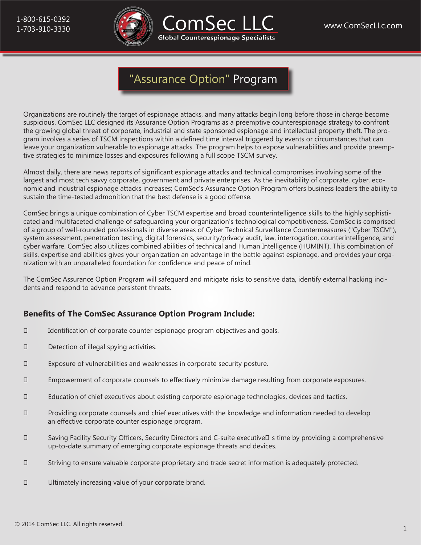



Organizations are routinely the target of espionage attacks, and many attacks begin long before those in charge become suspicious. ComSec LLC designed its Assurance Option Programs as a preemptive counterespionage strategy to confront the growing global threat of corporate, industrial and state sponsored espionage and intellectual property theft. The program involves a series of TSCM inspections within a defined time interval triggered by events or circumstances that can leave your organization vulnerable to espionage attacks. The program helps to expose vulnerabilities and provide preemptive strategies to minimize losses and exposures following a full scope TSCM survey.

Almost daily, there are news reports of significant espionage attacks and technical compromises involving some of the largest and most tech savvy corporate, government and private enterprises. As the inevitability of corporate, cyber, economic and industrial espionage attacks increases; ComSec's Assurance Option Program offers business leaders the ability to sustain the time-tested admonition that the best defense is a good offense.

ComSec brings a unique combination of Cyber TSCM expertise and broad counterintelligence skills to the highly sophisticated and multifaceted challenge of safeguarding your organization's technological competitiveness. ComSec is comprised of a group of well-rounded professionals in diverse areas of Cyber Technical Surveillance Countermeasures ("Cyber TSCM"), system assessment, penetration testing, digital forensics, security/privacy audit, law, interrogation, counterintelligence, and cyber warfare. ComSec also utilizes combined abilities of technical and Human Intelligence (HUMINT). This combination of skills, expertise and abilities gives your organization an advantage in the battle against espionage, and provides your organization with an unparalleled foundation for confidence and peace of mind.

The ComSec Assurance Option Program will safeguard and mitigate risks to sensitive data, identify external hacking incidents and respond to advance persistent threats.

## **Benefits of The ComSec Assurance Option Program Include:**

- Identification of corporate counter espionage program objectives and goals.
- Detection of illegal spying activities.
- Exposure of vulnerabilities and weaknesses in corporate security posture.
- Empowerment of corporate counsels to effectively minimize damage resulting from corporate exposures.
- Education of chief executives about existing corporate espionage technologies, devices and tactics.
- Providing corporate counsels and chief executives with the knowledge and information needed to develop an effective corporate counter espionage program.
- Saving Facility Security Officers, Security Directors and C-suite executive's time by providing a comprehensive up-to-date summary of emerging corporate espionage threats and devices.
- Striving to ensure valuable corporate proprietary and trade secret information is adequately protected.
- Ultimately increasing value of your corporate brand.